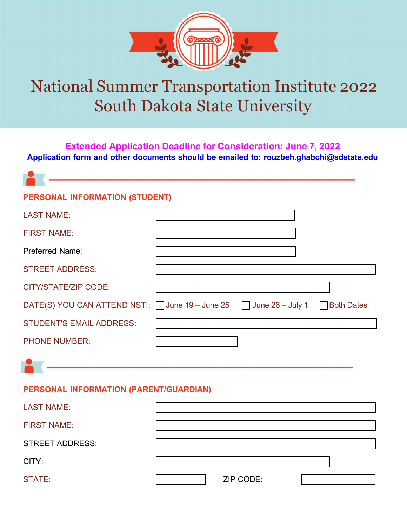

## National Summer Transportation Institute 2022 South Dakota State University

**Extended Application Deadline for Consideration: June 7, 2022 Application form and other documents should be emailed to: [rouzbeh.ghabchi@sdstate.edu](mailto:rouzbeh.ghabchi@sdstate.edu)** 

| <b>PERSONAL INFORMATION (STUDENT)</b>                                                           |  |  |  |
|-------------------------------------------------------------------------------------------------|--|--|--|
| <b>LAST NAME:</b>                                                                               |  |  |  |
| <b>FIRST NAME:</b>                                                                              |  |  |  |
| <b>Preferred Name:</b>                                                                          |  |  |  |
| <b>STREET ADDRESS:</b>                                                                          |  |  |  |
| <b>CITY/STATE/ZIP CODE:</b>                                                                     |  |  |  |
| DATE(S) YOU CAN ATTEND NSTI: $\Box$ June 19 – June 25 $\Box$ June 26 – July 1 $\Box$ Both Dates |  |  |  |
| <b>STUDENT'S EMAIL ADDRESS:</b>                                                                 |  |  |  |
| <b>PHONE NUMBER:</b>                                                                            |  |  |  |
|                                                                                                 |  |  |  |
| PERSONAL INFORMATION (PARENT/GUARDIAN)                                                          |  |  |  |
| <b>LAST NAME:</b>                                                                               |  |  |  |
| <b>FIRST NAME:</b>                                                                              |  |  |  |

STREET ADDRESS:

CITY:

STATE:  $\vert$  ZIP CODE: